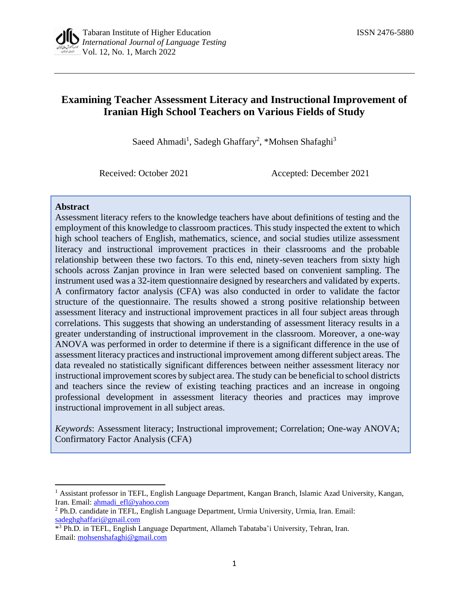

# **Examining Teacher Assessment Literacy and Instructional Improvement of Iranian High School Teachers on Various Fields of Study**

Saeed Ahmadi<sup>1</sup>, Sadegh Ghaffary<sup>2</sup>, \*Mohsen Shafaghi<sup>3</sup>

Received: October 2021 Accepted: December 2021

#### **Abstract**

Assessment literacy refers to the knowledge teachers have about definitions of testing and the employment of this knowledge to classroom practices. This study inspected the extent to which high school teachers of English, mathematics, science, and social studies utilize assessment literacy and instructional improvement practices in their classrooms and the probable relationship between these two factors. To this end, ninety-seven teachers from sixty high schools across Zanjan province in Iran were selected based on convenient sampling. The instrument used was a 32-item questionnaire designed by researchers and validated by experts. A confirmatory factor analysis (CFA) was also conducted in order to validate the factor structure of the questionnaire. The results showed a strong positive relationship between assessment literacy and instructional improvement practices in all four subject areas through correlations. This suggests that showing an understanding of assessment literacy results in a greater understanding of instructional improvement in the classroom. Moreover, a one-way ANOVA was performed in order to determine if there is a significant difference in the use of assessment literacy practices and instructional improvement among different subject areas. The data revealed no statistically significant differences between neither assessment literacy nor instructional improvement scores by subject area. The study can be beneficial to school districts and teachers since the review of existing teaching practices and an increase in ongoing professional development in assessment literacy theories and practices may improve instructional improvement in all subject areas.

*Keywords*: Assessment literacy; Instructional improvement; Correlation; One-way ANOVA; Confirmatory Factor Analysis (CFA)

<sup>1</sup> Assistant professor in TEFL, English Language Department, Kangan Branch, Islamic Azad University, Kangan, Iran. Email: [ahmadi\\_efl@yahoo.com](mailto:ahmadi_efl@yahoo.com)

<sup>2</sup> Ph.D. candidate in TEFL, English Language Department, Urmia University, Urmia, Iran. Email: [sadeghghaffari@gmail.com](mailto:sadeghghaffari@gmail.com)

<sup>\*</sup> <sup>3</sup> Ph.D. in TEFL, English Language Department, Allameh Tabataba'i University, Tehran, Iran. Email: [mohsenshafaghi@gmail.com](mailto:mohsenshafaghi@gmail.com)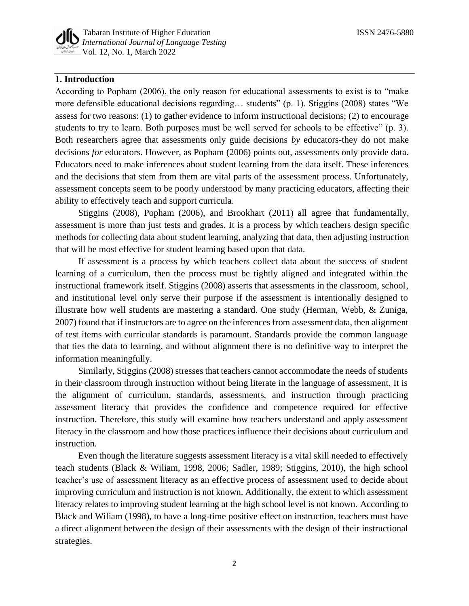

### **1. Introduction**

According to Popham (2006), the only reason for educational assessments to exist is to "make more defensible educational decisions regarding… students" (p. 1). Stiggins (2008) states "We assess for two reasons: (1) to gather evidence to inform instructional decisions; (2) to encourage students to try to learn. Both purposes must be well served for schools to be effective" (p. 3). Both researchers agree that assessments only guide decisions *by* educators-they do not make decisions *for* educators. However, as Popham (2006) points out, assessments only provide data. Educators need to make inferences about student learning from the data itself. These inferences and the decisions that stem from them are vital parts of the assessment process. Unfortunately, assessment concepts seem to be poorly understood by many practicing educators, affecting their ability to effectively teach and support curricula.

Stiggins (2008), Popham (2006), and Brookhart (2011) all agree that fundamentally, assessment is more than just tests and grades. It is a process by which teachers design specific methods for collecting data about student learning, analyzing that data, then adjusting instruction that will be most effective for student learning based upon that data.

If assessment is a process by which teachers collect data about the success of student learning of a curriculum, then the process must be tightly aligned and integrated within the instructional framework itself. Stiggins (2008) asserts that assessments in the classroom, school, and institutional level only serve their purpose if the assessment is intentionally designed to illustrate how well students are mastering a standard. One study (Herman, Webb, & Zuniga, 2007) found that if instructors are to agree on the inferences from assessment data, then alignment of test items with curricular standards is paramount. Standards provide the common language that ties the data to learning, and without alignment there is no definitive way to interpret the information meaningfully.

Similarly, Stiggins (2008) stresses that teachers cannot accommodate the needs of students in their classroom through instruction without being literate in the language of assessment. It is the alignment of curriculum, standards, assessments, and instruction through practicing assessment literacy that provides the confidence and competence required for effective instruction. Therefore, this study will examine how teachers understand and apply assessment literacy in the classroom and how those practices influence their decisions about curriculum and instruction.

Even though the literature suggests assessment literacy is a vital skill needed to effectively teach students (Black & Wiliam, 1998, 2006; Sadler, 1989; Stiggins, 2010), the high school teacher's use of assessment literacy as an effective process of assessment used to decide about improving curriculum and instruction is not known. Additionally, the extent to which assessment literacy relates to improving student learning at the high school level is not known. According to Black and Wiliam (1998), to have a long-time positive effect on instruction, teachers must have a direct alignment between the design of their assessments with the design of their instructional strategies.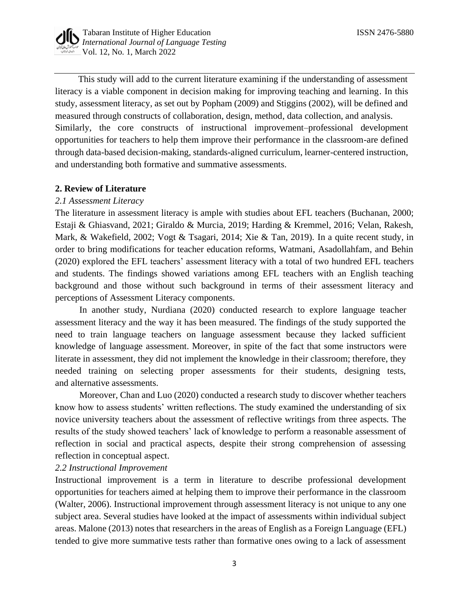

This study will add to the current literature examining if the understanding of assessment literacy is a viable component in decision making for improving teaching and learning. In this study, assessment literacy, as set out by Popham (2009) and Stiggins (2002), will be defined and measured through constructs of collaboration, design, method, data collection, and analysis. Similarly, the core constructs of instructional improvement–professional development opportunities for teachers to help them improve their performance in the classroom-are defined through data-based decision-making, standards-aligned curriculum, learner-centered instruction, and understanding both formative and summative assessments.

### **2. Review of Literature**

### *2.1 Assessment Literacy*

The literature in assessment literacy is ample with studies about EFL teachers (Buchanan, 2000; Estaji & Ghiasvand, 2021; Giraldo & Murcia, 2019; Harding & Kremmel, 2016; Velan, Rakesh, Mark, & Wakefield, 2002; Vogt & Tsagari, 2014; Xie & Tan, 2019). In a quite recent study, in order to bring modifications for teacher education reforms, Watmani, Asadollahfam, and Behin (2020) explored the EFL teachers' assessment literacy with a total of two hundred EFL teachers and students. The findings showed variations among EFL teachers with an English teaching background and those without such background in terms of their assessment literacy and perceptions of Assessment Literacy components.

In another study, Nurdiana (2020) conducted research to explore language teacher assessment literacy and the way it has been measured. The findings of the study supported the need to train language teachers on language assessment because they lacked sufficient knowledge of language assessment. Moreover, in spite of the fact that some instructors were literate in assessment, they did not implement the knowledge in their classroom; therefore, they needed training on selecting proper assessments for their students, designing tests, and alternative assessments.

Moreover, Chan and Luo (2020) conducted a research study to discover whether teachers know how to assess students' written reflections. The study examined the understanding of six novice university teachers about the assessment of reflective writings from three aspects. The results of the study showed teachers' lack of knowledge to perform a reasonable assessment of reflection in social and practical aspects, despite their strong comprehension of assessing reflection in conceptual aspect.

#### *2.2 Instructional Improvement*

Instructional improvement is a term in literature to describe professional development opportunities for teachers aimed at helping them to improve their performance in the classroom (Walter, 2006). Instructional improvement through assessment literacy is not unique to any one subject area. Several studies have looked at the impact of assessments within individual subject areas. Malone (2013) notes that researchers in the areas of English as a Foreign Language (EFL) tended to give more summative tests rather than formative ones owing to a lack of assessment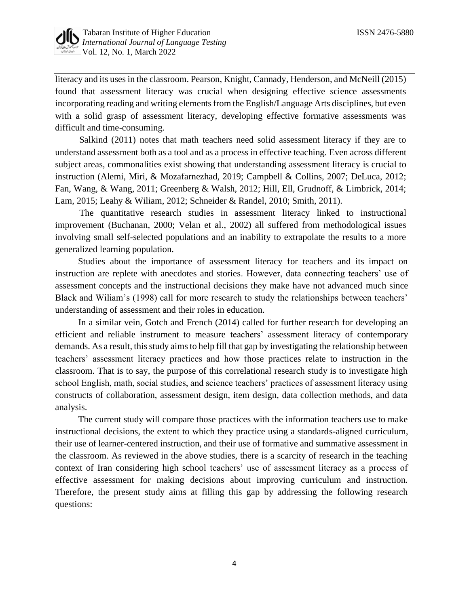

literacy and its uses in the classroom. Pearson, Knight, Cannady, Henderson, and McNeill (2015) found that assessment literacy was crucial when designing effective science assessments incorporating reading and writing elements from the English/Language Arts disciplines, but even with a solid grasp of assessment literacy, developing effective formative assessments was difficult and time-consuming.

Salkind (2011) notes that math teachers need solid assessment literacy if they are to understand assessment both as a tool and as a process in effective teaching. Even across different subject areas, commonalities exist showing that understanding assessment literacy is crucial to instruction (Alemi, Miri, & Mozafarnezhad, 2019; Campbell & Collins, 2007; DeLuca, 2012; Fan, Wang, & Wang, 2011; Greenberg & Walsh, 2012; Hill, Ell, Grudnoff, & Limbrick, 2014; Lam, 2015; Leahy & Wiliam, 2012; Schneider & Randel, 2010; Smith, 2011).

The quantitative research studies in assessment literacy linked to instructional improvement (Buchanan, 2000; Velan et al., 2002) all suffered from methodological issues involving small self-selected populations and an inability to extrapolate the results to a more generalized learning population.

 Studies about the importance of assessment literacy for teachers and its impact on instruction are replete with anecdotes and stories. However, data connecting teachers' use of assessment concepts and the instructional decisions they make have not advanced much since Black and Wiliam's (1998) call for more research to study the relationships between teachers' understanding of assessment and their roles in education.

In a similar vein, Gotch and French (2014) called for further research for developing an efficient and reliable instrument to measure teachers' assessment literacy of contemporary demands. As a result, this study aims to help fill that gap by investigating the relationship between teachers' assessment literacy practices and how those practices relate to instruction in the classroom. That is to say, the purpose of this correlational research study is to investigate high school English, math, social studies, and science teachers' practices of assessment literacy using constructs of collaboration, assessment design, item design, data collection methods, and data analysis.

The current study will compare those practices with the information teachers use to make instructional decisions, the extent to which they practice using a standards-aligned curriculum, their use of learner-centered instruction, and their use of formative and summative assessment in the classroom. As reviewed in the above studies, there is a scarcity of research in the teaching context of Iran considering high school teachers' use of assessment literacy as a process of effective assessment for making decisions about improving curriculum and instruction. Therefore, the present study aims at filling this gap by addressing the following research questions: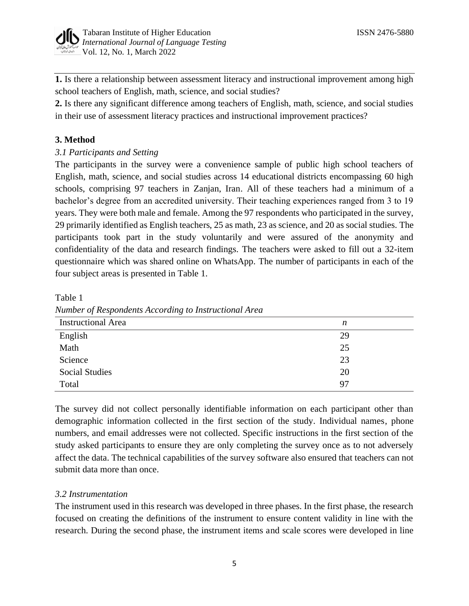

**1.** Is there a relationship between assessment literacy and instructional improvement among high school teachers of English, math, science, and social studies?

**2.** Is there any significant difference among teachers of English, math, science, and social studies in their use of assessment literacy practices and instructional improvement practices?

### **3. Method**

### *3.1 Participants and Setting*

The participants in the survey were a convenience sample of public high school teachers of English, math, science, and social studies across 14 educational districts encompassing 60 high schools, comprising 97 teachers in Zanjan, Iran. All of these teachers had a minimum of a bachelor's degree from an accredited university. Their teaching experiences ranged from 3 to 19 years. They were both male and female. Among the 97 respondents who participated in the survey, 29 primarily identified as English teachers, 25 as math, 23 as science, and 20 as social studies. The participants took part in the study voluntarily and were assured of the anonymity and confidentiality of the data and research findings. The teachers were asked to fill out a 32-item questionnaire which was shared online on WhatsApp. The number of participants in each of the four subject areas is presented in Table 1.

Table 1

*Number of Respondents According to Instructional Area*

| $\cdot$<br>$\overline{ }$<br>$\overline{\phantom{a}}$ |    |
|-------------------------------------------------------|----|
| <b>Instructional Area</b>                             | n  |
| English                                               | 29 |
| Math                                                  | 25 |
| Science                                               | 23 |
| <b>Social Studies</b>                                 | 20 |
| Total                                                 | 97 |

The survey did not collect personally identifiable information on each participant other than demographic information collected in the first section of the study. Individual names, phone numbers, and email addresses were not collected. Specific instructions in the first section of the study asked participants to ensure they are only completing the survey once as to not adversely affect the data. The technical capabilities of the survey software also ensured that teachers can not submit data more than once.

### *3.2 Instrumentation*

The instrument used in this research was developed in three phases. In the first phase, the research focused on creating the definitions of the instrument to ensure content validity in line with the research. During the second phase, the instrument items and scale scores were developed in line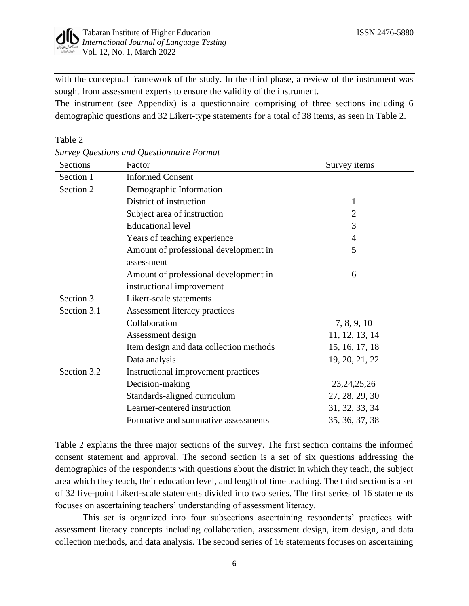

with the conceptual framework of the study. In the third phase, a review of the instrument was sought from assessment experts to ensure the validity of the instrument.

The instrument (see Appendix) is a questionnaire comprising of three sections including 6 demographic questions and 32 Likert-type statements for a total of 38 items, as seen in Table 2.

### Table 2

| Sections    | Factor                                  | Survey items   |
|-------------|-----------------------------------------|----------------|
| Section 1   | <b>Informed Consent</b>                 |                |
| Section 2   | Demographic Information                 |                |
|             | District of instruction                 | $\mathbf{1}$   |
|             | Subject area of instruction             | $\overline{2}$ |
|             | <b>Educational level</b>                | 3              |
|             | Years of teaching experience            | $\overline{4}$ |
|             | Amount of professional development in   | 5              |
|             | assessment                              |                |
|             | Amount of professional development in   | 6              |
|             | instructional improvement               |                |
| Section 3   | Likert-scale statements                 |                |
| Section 3.1 | Assessment literacy practices           |                |
|             | Collaboration                           | 7, 8, 9, 10    |
|             | Assessment design                       | 11, 12, 13, 14 |
|             | Item design and data collection methods | 15, 16, 17, 18 |
|             | Data analysis                           | 19, 20, 21, 22 |
| Section 3.2 | Instructional improvement practices     |                |
|             | Decision-making                         | 23, 24, 25, 26 |
|             | Standards-aligned curriculum            | 27, 28, 29, 30 |
|             | Learner-centered instruction            | 31, 32, 33, 34 |
|             | Formative and summative assessments     | 35, 36, 37, 38 |

*Survey Questions and Questionnaire Format*

Table 2 explains the three major sections of the survey. The first section contains the informed consent statement and approval. The second section is a set of six questions addressing the demographics of the respondents with questions about the district in which they teach, the subject area which they teach, their education level, and length of time teaching. The third section is a set of 32 five-point Likert-scale statements divided into two series. The first series of 16 statements focuses on ascertaining teachers' understanding of assessment literacy.

This set is organized into four subsections ascertaining respondents' practices with assessment literacy concepts including collaboration, assessment design, item design, and data collection methods, and data analysis. The second series of 16 statements focuses on ascertaining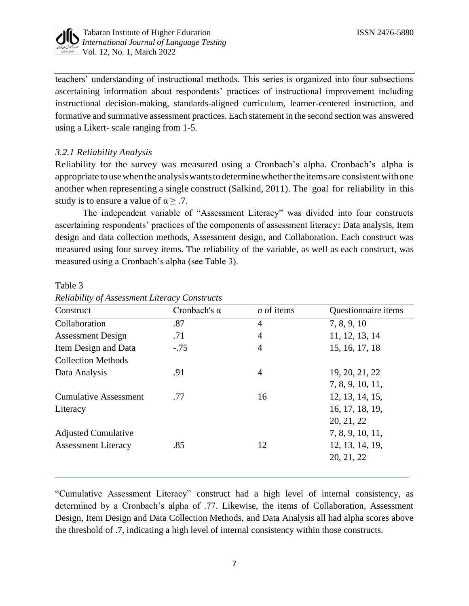

Table 3

teachers' understanding of instructional methods. This series is organized into four subsections ascertaining information about respondents' practices of instructional improvement including instructional decision-making, standards-aligned curriculum, learner-centered instruction, and formative and summative assessment practices. Each statement in the second section was answered using a Likert- scale ranging from 1-5.

### *3.2.1 Reliability Analysis*

Reliability for the survey was measured using a Cronbach's alpha. Cronbach's alpha is appropriate to use when the analysis wants to determine whether the items are consistent with one another when representing a single construct (Salkind, 2011). The goal for reliability in this study is to ensure a value of  $\alpha \geq 0.7$ .

The independent variable of "Assessment Literacy" was divided into four constructs ascertaining respondents' practices of the components of assessment literacy: Data analysis, Item design and data collection methods, Assessment design, and Collaboration. Each construct was measured using four survey items. The reliability of the variable, as well as each construct, was measured using a Cronbach's alpha (see Table 3).

| Construct                    | Cronbach's $\alpha$ | $n$ of items   | Questionnaire items |
|------------------------------|---------------------|----------------|---------------------|
| Collaboration                | .87                 | $\overline{4}$ | 7, 8, 9, 10         |
| <b>Assessment Design</b>     | .71                 | $\overline{4}$ | 11, 12, 13, 14      |
| Item Design and Data         | $-.75$              | $\overline{4}$ | 15, 16, 17, 18      |
| <b>Collection Methods</b>    |                     |                |                     |
| Data Analysis                | .91                 | $\overline{4}$ | 19, 20, 21, 22      |
|                              |                     |                | 7, 8, 9, 10, 11,    |
| <b>Cumulative Assessment</b> | .77                 | 16             | 12, 13, 14, 15,     |
| Literacy                     |                     |                | 16, 17, 18, 19,     |
|                              |                     |                | 20, 21, 22          |
| <b>Adjusted Cumulative</b>   |                     |                | 7, 8, 9, 10, 11,    |
| <b>Assessment Literacy</b>   | .85                 | 12             | 12, 13, 14, 19,     |
|                              |                     |                | 20, 21, 22          |

*Reliability of Assessment Literacy Constructs*

"Cumulative Assessment Literacy" construct had a high level of internal consistency, as determined by a Cronbach's alpha of .77. Likewise, the items of Collaboration, Assessment Design, Item Design and Data Collection Methods, and Data Analysis all had alpha scores above the threshold of .7, indicating a high level of internal consistency within those constructs.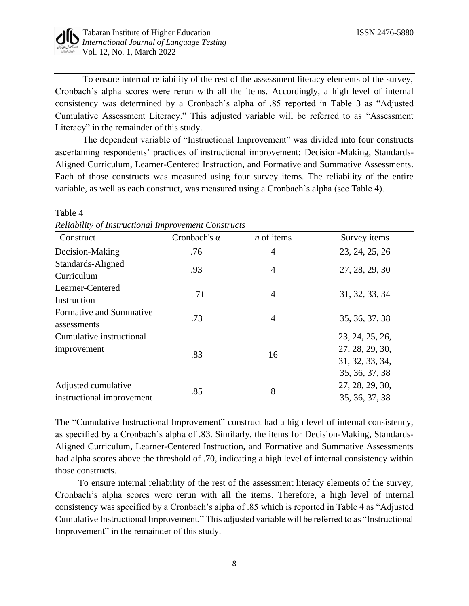

To ensure internal reliability of the rest of the assessment literacy elements of the survey, Cronbach's alpha scores were rerun with all the items. Accordingly, a high level of internal consistency was determined by a Cronbach's alpha of .85 reported in Table 3 as "Adjusted Cumulative Assessment Literacy." This adjusted variable will be referred to as "Assessment Literacy" in the remainder of this study.

The dependent variable of "Instructional Improvement" was divided into four constructs ascertaining respondents' practices of instructional improvement: Decision-Making, Standards-Aligned Curriculum, Learner-Centered Instruction, and Formative and Summative Assessments. Each of those constructs was measured using four survey items. The reliability of the entire variable, as well as each construct, was measured using a Cronbach's alpha (see Table 4).

| Construct                 | Cronbach's $\alpha$ | $n$ of items   | Survey items    |
|---------------------------|---------------------|----------------|-----------------|
| Decision-Making           | .76                 | 4              | 23, 24, 25, 26  |
| Standards-Aligned         |                     | $\overline{4}$ | 27, 28, 29, 30  |
| Curriculum                | .93                 |                |                 |
| Learner-Centered          |                     | 4              | 31, 32, 33, 34  |
| Instruction               | .71                 |                |                 |
| Formative and Summative   | .73                 | $\overline{4}$ | 35, 36, 37, 38  |
| assessments               |                     |                |                 |
| Cumulative instructional  |                     |                | 23, 24, 25, 26, |
| improvement               | .83                 | 16             | 27, 28, 29, 30, |
|                           |                     |                | 31, 32, 33, 34, |
|                           |                     |                | 35, 36, 37, 38  |
| Adjusted cumulative       |                     |                | 27, 28, 29, 30, |
| instructional improvement | .85                 | 8              | 35, 36, 37, 38  |

Table 4 *Reliability of Instructional Improvement Constructs*

The "Cumulative Instructional Improvement" construct had a high level of internal consistency, as specified by a Cronbach's alpha of .83. Similarly, the items for Decision-Making, Standards-Aligned Curriculum, Learner-Centered Instruction, and Formative and Summative Assessments had alpha scores above the threshold of .70, indicating a high level of internal consistency within those constructs.

To ensure internal reliability of the rest of the assessment literacy elements of the survey, Cronbach's alpha scores were rerun with all the items. Therefore, a high level of internal consistency was specified by a Cronbach's alpha of .85 which is reported in Table 4 as "Adjusted Cumulative Instructional Improvement." This adjusted variable will be referred to as "Instructional Improvement" in the remainder of this study.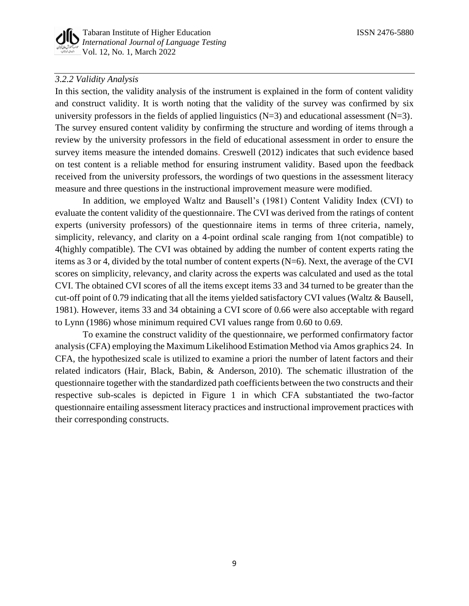

### *3.2.2 Validity Analysis*

In this section, the validity analysis of the instrument is explained in the form of content validity and construct validity. It is worth noting that the validity of the survey was confirmed by six university professors in the fields of applied linguistics  $(N=3)$  and educational assessment  $(N=3)$ . The survey ensured content validity by confirming the structure and wording of items through a review by the university professors in the field of educational assessment in order to ensure the survey items measure the intended domains. Creswell (2012) indicates that such evidence based on test content is a reliable method for ensuring instrument validity. Based upon the feedback received from the university professors, the wordings of two questions in the assessment literacy measure and three questions in the instructional improvement measure were modified.

In addition, we employed Waltz and Bausell's (1981) Content Validity Index (CVI) to evaluate the content validity of the questionnaire. The CVI was derived from the ratings of content experts (university professors) of the questionnaire items in terms of three criteria, namely, simplicity, relevancy, and clarity on a 4-point ordinal scale ranging from 1(not compatible) to 4(highly compatible). The CVI was obtained by adding the number of content experts rating the items as 3 or 4, divided by the total number of content experts (N=6). Next, the average of the CVI scores on simplicity, relevancy, and clarity across the experts was calculated and used as the total CVI. The obtained CVI scores of all the items except items 33 and 34 turned to be greater than the cut-off point of 0.79 indicating that all the items yielded satisfactory CVI values (Waltz & Bausell, 1981). However, items 33 and 34 obtaining a CVI score of 0.66 were also acceptable with regard to Lynn (1986) whose minimum required CVI values range from 0.60 to 0.69.

To examine the construct validity of the questionnaire, we performed confirmatory factor analysis (CFA) employing the Maximum Likelihood Estimation Method via Amos graphics 24. In CFA, the hypothesized scale is utilized to examine a priori the number of latent factors and their related indicators (Hair, Black, Babin, & Anderson, [2010\)](https://www.tandfonline.com/doi/full/10.1080/2331186X.2018.1558916). The schematic illustration of the questionnaire together with the standardized path coefficients between the two constructs and their respective sub-scales is depicted in Figure 1 in which CFA substantiated the two-factor questionnaire entailing assessment literacy practices and instructional improvement practices with their corresponding constructs.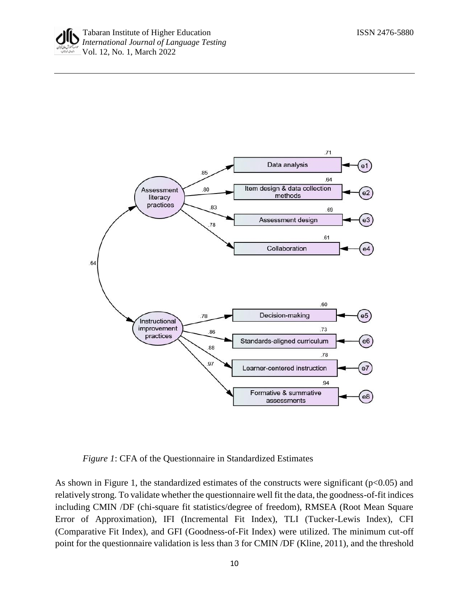



*Figure 1*: CFA of the Questionnaire in Standardized Estimates

As shown in Figure 1, the standardized estimates of the constructs were significant ( $p<0.05$ ) and relatively strong. To validate whether the questionnaire well fit the data, the goodness-of-fit indices including CMIN /DF (chi-square fit statistics/degree of freedom), RMSEA (Root Mean Square Error of Approximation), IFI (Incremental Fit Index), TLI (Tucker-Lewis Index), CFI (Comparative Fit Index), and GFI (Goodness-of-Fit Index) were utilized. The minimum cut-off point for the questionnaire validation is less than 3 for CMIN /DF (Kline, 2011), and the threshold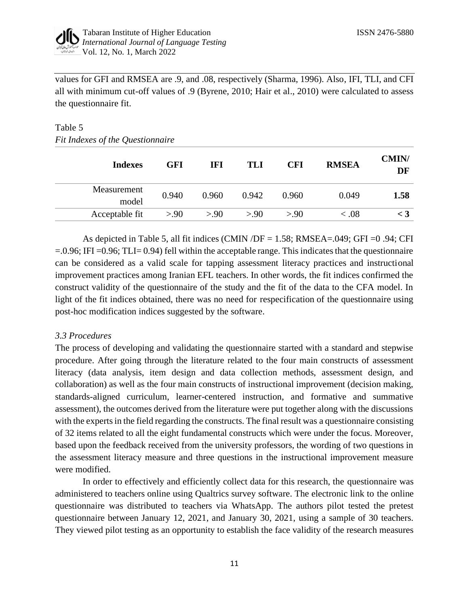

values for GFI and RMSEA are .9, and .08, respectively (Sharma, 1996). Also, IFI, TLI, and CFI all with minimum cut-off values of .9 (Byrene, 2010; Hair et al., 2010) were calculated to assess the questionnaire fit.

# Table 5

| Fit Indexes of the Questionnaire |  |  |  |
|----------------------------------|--|--|--|
|----------------------------------|--|--|--|

| <b>Indexes</b> | GFI   | IFI   | TLI   | <b>CFI</b> | <b>RMSEA</b> | <b>CMIN/</b><br>DF |
|----------------|-------|-------|-------|------------|--------------|--------------------|
| Measurement    | 0.940 | 0.960 | 0.942 | 0.960      | 0.049        | 1.58               |
| model          |       |       |       |            |              |                    |
| Acceptable fit | > 90  | > 90  | > 90  | > 90       | < 0.08       |                    |

As depicted in Table 5, all fit indices (CMIN /DF =  $1.58$ ; RMSEA=.049; GFI = 0.94; CFI  $=0.96$ ; IFI  $=0.96$ ; TLI $= 0.94$ ) fell within the acceptable range. This indicates that the questionnaire can be considered as a valid scale for tapping assessment literacy practices and instructional improvement practices among Iranian EFL teachers. In other words, the fit indices confirmed the construct validity of the questionnaire of the study and the fit of the data to the CFA model. In light of the fit indices obtained, there was no need for respecification of the questionnaire using post-hoc modification indices suggested by the software.

# *3.3 Procedures*

The process of developing and validating the questionnaire started with a standard and stepwise procedure. After going through the literature related to the four main constructs of assessment literacy (data analysis, item design and data collection methods, assessment design, and collaboration) as well as the four main constructs of instructional improvement (decision making, standards-aligned curriculum, learner-centered instruction, and formative and summative assessment), the outcomes derived from the literature were put together along with the discussions with the experts in the field regarding the constructs. The final result was a questionnaire consisting of 32 items related to all the eight fundamental constructs which were under the focus. Moreover, based upon the feedback received from the university professors, the wording of two questions in the assessment literacy measure and three questions in the instructional improvement measure were modified.

In order to effectively and efficiently collect data for this research, the questionnaire was administered to teachers online using Qualtrics survey software. The electronic link to the online questionnaire was distributed to teachers via WhatsApp. The authors pilot tested the pretest questionnaire between January 12, 2021, and January 30, 2021, using a sample of 30 teachers. They viewed pilot testing as an opportunity to establish the face validity of the research measures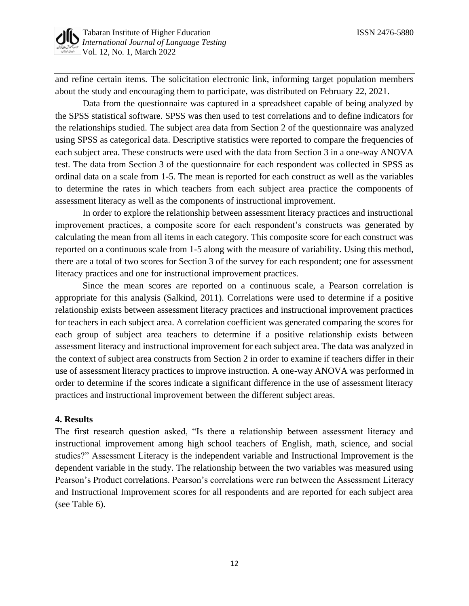

and refine certain items. The solicitation electronic link, informing target population members about the study and encouraging them to participate, was distributed on February 22, 2021.

Data from the questionnaire was captured in a spreadsheet capable of being analyzed by the SPSS statistical software. SPSS was then used to test correlations and to define indicators for the relationships studied. The subject area data from Section 2 of the questionnaire was analyzed using SPSS as categorical data. Descriptive statistics were reported to compare the frequencies of each subject area. These constructs were used with the data from Section 3 in a one-way ANOVA test. The data from Section 3 of the questionnaire for each respondent was collected in SPSS as ordinal data on a scale from 1-5. The mean is reported for each construct as well as the variables to determine the rates in which teachers from each subject area practice the components of assessment literacy as well as the components of instructional improvement.

In order to explore the relationship between assessment literacy practices and instructional improvement practices, a composite score for each respondent's constructs was generated by calculating the mean from all items in each category. This composite score for each construct was reported on a continuous scale from 1-5 along with the measure of variability. Using this method, there are a total of two scores for Section 3 of the survey for each respondent; one for assessment literacy practices and one for instructional improvement practices.

Since the mean scores are reported on a continuous scale, a Pearson correlation is appropriate for this analysis (Salkind, 2011). Correlations were used to determine if a positive relationship exists between assessment literacy practices and instructional improvement practices for teachers in each subject area. A correlation coefficient was generated comparing the scores for each group of subject area teachers to determine if a positive relationship exists between assessment literacy and instructional improvement for each subject area. The data was analyzed in the context of subject area constructs from Section 2 in order to examine if teachers differ in their use of assessment literacy practices to improve instruction. A one-way ANOVA was performed in order to determine if the scores indicate a significant difference in the use of assessment literacy practices and instructional improvement between the different subject areas.

#### **4. Results**

The first research question asked, "Is there a relationship between assessment literacy and instructional improvement among high school teachers of English, math, science, and social studies?" Assessment Literacy is the independent variable and Instructional Improvement is the dependent variable in the study. The relationship between the two variables was measured using Pearson's Product correlations. Pearson's correlations were run between the Assessment Literacy and Instructional Improvement scores for all respondents and are reported for each subject area (see Table 6).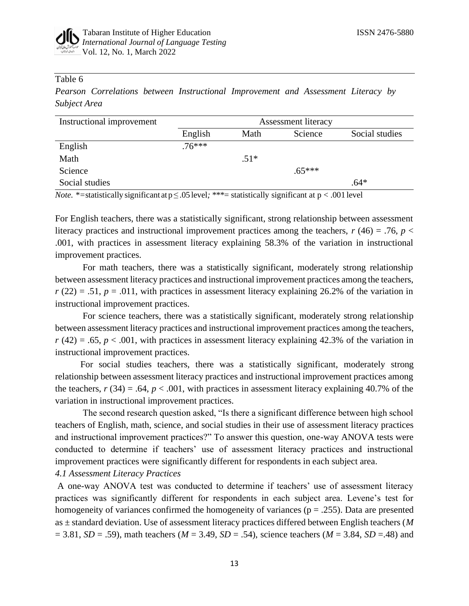

#### Table 6

*Pearson Correlations between Instructional Improvement and Assessment Literacy by Subject Area*

| Instructional improvement | Assessment literacy |        |          |                |  |  |
|---------------------------|---------------------|--------|----------|----------------|--|--|
|                           | English             | Math   | Science  | Social studies |  |  |
| English                   | $.76***$            |        |          |                |  |  |
| Math                      |                     | $.51*$ |          |                |  |  |
| Science                   |                     |        | $.65***$ |                |  |  |
| Social studies            |                     |        |          | $.64*$         |  |  |

*Note.* \*=statistically significant at p ≤ .05 level; \*\*\*= statistically significant at p < .001 level

For English teachers, there was a statistically significant, strong relationship between assessment literacy practices and instructional improvement practices among the teachers,  $r(46) = .76$ ,  $p <$ .001, with practices in assessment literacy explaining 58.3% of the variation in instructional improvement practices.

For math teachers, there was a statistically significant, moderately strong relationship between assessment literacy practices and instructional improvement practices among the teachers,  $r(22) = .51$ ,  $p = .011$ , with practices in assessment literacy explaining 26.2% of the variation in instructional improvement practices.

For science teachers, there was a statistically significant, moderately strong relationship between assessment literacy practices and instructional improvement practices among the teachers,  $r(42) = .65$ ,  $p < .001$ , with practices in assessment literacy explaining 42.3% of the variation in instructional improvement practices.

 For social studies teachers, there was a statistically significant, moderately strong relationship between assessment literacy practices and instructional improvement practices among the teachers,  $r(34) = .64$ ,  $p < .001$ , with practices in assessment literacy explaining 40.7% of the variation in instructional improvement practices.

The second research question asked, "Is there a significant difference between high school teachers of English, math, science, and social studies in their use of assessment literacy practices and instructional improvement practices?" To answer this question, one-way ANOVA tests were conducted to determine if teachers' use of assessment literacy practices and instructional improvement practices were significantly different for respondents in each subject area.

*4.1 Assessment Literacy Practices*

A one-way ANOVA test was conducted to determine if teachers' use of assessment literacy practices was significantly different for respondents in each subject area. Levene's test for homogeneity of variances confirmed the homogeneity of variances ( $p = .255$ ). Data are presented as ± standard deviation. Use of assessment literacy practices differed between English teachers (*M*  = 3.81, *SD* = .59), math teachers (*M* = 3.49, *SD* = .54), science teachers (*M* = 3.84, *SD* =.48) and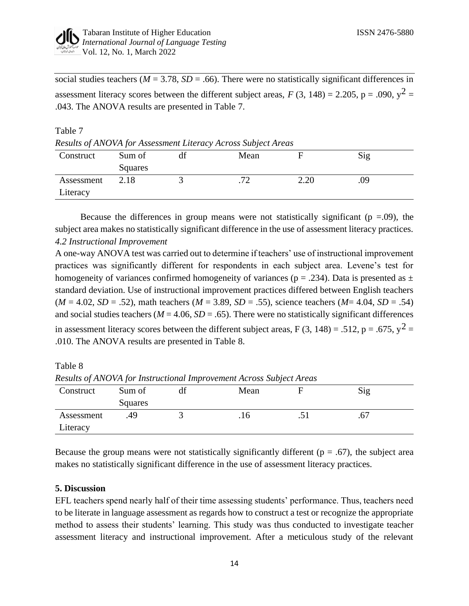

social studies teachers ( $M = 3.78$ ,  $SD = .66$ ). There were no statistically significant differences in assessment literacy scores between the different subject areas,  $F(3, 148) = 2.205$ ,  $p = .090$ ,  $y^2 =$ .043. The ANOVA results are presented in Table 7.

Table 7

*Results of ANOVA for Assessment Literacy Across Subject Areas*

|            | Results of the other per this cosment Lucrucy Heross Subject Hreus |  |      |      |     |  |  |
|------------|--------------------------------------------------------------------|--|------|------|-----|--|--|
| Construct  | Sum of                                                             |  | Mean |      | Sig |  |  |
|            | Squares                                                            |  |      |      |     |  |  |
| Assessment | 2.18                                                               |  |      | 2.20 | .09 |  |  |
| Literacy   |                                                                    |  |      |      |     |  |  |

Because the differences in group means were not statistically significant ( $p = .09$ ), the subject area makes no statistically significant difference in the use of assessment literacy practices. *4.2 Instructional Improvement*

A one-way ANOVA test was carried out to determine if teachers' use of instructional improvement practices was significantly different for respondents in each subject area. Levene's test for homogeneity of variances confirmed homogeneity of variances ( $p = .234$ ). Data is presented as  $\pm$ standard deviation. Use of instructional improvement practices differed between English teachers (*M* = 4.02, *SD* = .52), math teachers (*M* = 3.89, *SD* = .55), science teachers (*M*= 4.04, *SD* = .54) and social studies teachers ( $M = 4.06$ ,  $SD = .65$ ). There were no statistically significant differences in assessment literacy scores between the different subject areas, F (3, 148) = .512, p = .675,  $v^2$  = .010. The ANOVA results are presented in Table 8.

Table 8 *Results of ANOVA for Instructional Improvement Across Subject Areas*

| Construct  | $\cdot$<br>Sum of | uı | Mean |     | Sig  |  |
|------------|-------------------|----|------|-----|------|--|
|            | <b>Squares</b>    |    |      |     |      |  |
| Assessment | .49               |    | .10  | ٠., | ، 0. |  |
| Literacy   |                   |    |      |     |      |  |

Because the group means were not statistically significantly different ( $p = .67$ ), the subject area makes no statistically significant difference in the use of assessment literacy practices.

# **5. Discussion**

EFL teachers spend nearly half of their time assessing students' performance. Thus, teachers need to be literate in language assessment as regards how to construct a test or recognize the appropriate method to assess their students' learning. This study was thus conducted to investigate teacher assessment literacy and instructional improvement. After a meticulous study of the relevant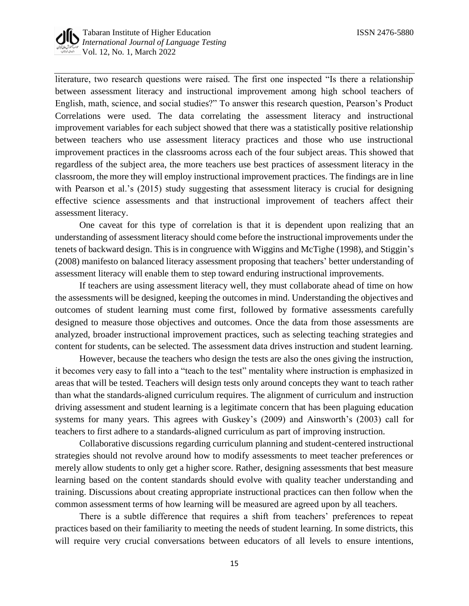

literature, two research questions were raised. The first one inspected "Is there a relationship between assessment literacy and instructional improvement among high school teachers of English, math, science, and social studies?" To answer this research question, Pearson's Product Correlations were used. The data correlating the assessment literacy and instructional improvement variables for each subject showed that there was a statistically positive relationship between teachers who use assessment literacy practices and those who use instructional improvement practices in the classrooms across each of the four subject areas. This showed that regardless of the subject area, the more teachers use best practices of assessment literacy in the classroom, the more they will employ instructional improvement practices. The findings are in line with Pearson et al.'s (2015) study suggesting that assessment literacy is crucial for designing effective science assessments and that instructional improvement of teachers affect their assessment literacy.

One caveat for this type of correlation is that it is dependent upon realizing that an understanding of assessment literacy should come before the instructional improvements under the tenets of backward design. This is in congruence with Wiggins and McTighe (1998), and Stiggin's (2008) manifesto on balanced literacy assessment proposing that teachers' better understanding of assessment literacy will enable them to step toward enduring instructional improvements.

If teachers are using assessment literacy well, they must collaborate ahead of time on how the assessments will be designed, keeping the outcomes in mind. Understanding the objectives and outcomes of student learning must come first, followed by formative assessments carefully designed to measure those objectives and outcomes. Once the data from those assessments are analyzed, broader instructional improvement practices, such as selecting teaching strategies and content for students, can be selected. The assessment data drives instruction and student learning.

However, because the teachers who design the tests are also the ones giving the instruction, it becomes very easy to fall into a "teach to the test" mentality where instruction is emphasized in areas that will be tested. Teachers will design tests only around concepts they want to teach rather than what the standards-aligned curriculum requires. The alignment of curriculum and instruction driving assessment and student learning is a legitimate concern that has been plaguing education systems for many years. This agrees with Guskey's (2009) and Ainsworth's (2003) call for teachers to first adhere to a standards-aligned curriculum as part of improving instruction.

Collaborative discussions regarding curriculum planning and student-centered instructional strategies should not revolve around how to modify assessments to meet teacher preferences or merely allow students to only get a higher score. Rather, designing assessments that best measure learning based on the content standards should evolve with quality teacher understanding and training. Discussions about creating appropriate instructional practices can then follow when the common assessment terms of how learning will be measured are agreed upon by all teachers.

There is a subtle difference that requires a shift from teachers' preferences to repeat practices based on their familiarity to meeting the needs of student learning. In some districts, this will require very crucial conversations between educators of all levels to ensure intentions,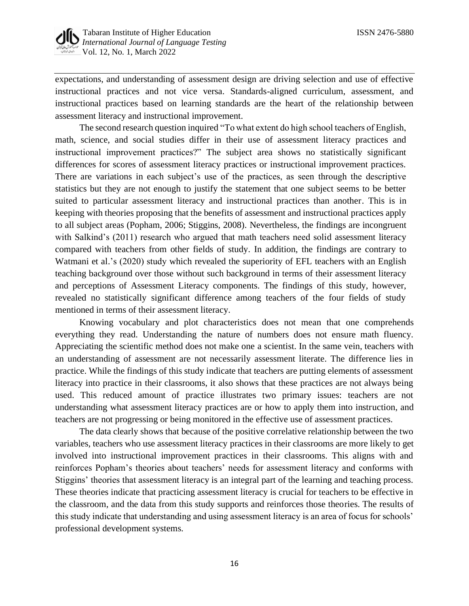

expectations, and understanding of assessment design are driving selection and use of effective instructional practices and not vice versa. Standards-aligned curriculum, assessment, and instructional practices based on learning standards are the heart of the relationship between assessment literacy and instructional improvement.

The second research question inquired "To what extent do high school teachers of English, math, science, and social studies differ in their use of assessment literacy practices and instructional improvement practices?" The subject area shows no statistically significant differences for scores of assessment literacy practices or instructional improvement practices. There are variations in each subject's use of the practices, as seen through the descriptive statistics but they are not enough to justify the statement that one subject seems to be better suited to particular assessment literacy and instructional practices than another. This is in keeping with theories proposing that the benefits of assessment and instructional practices apply to all subject areas (Popham, 2006; Stiggins, 2008). Nevertheless, the findings are incongruent with Salkind's (2011) research who argued that math teachers need solid assessment literacy compared with teachers from other fields of study. In addition, the findings are contrary to Watmani et al.'s (2020) study which revealed the superiority of EFL teachers with an English teaching background over those without such background in terms of their assessment literacy and perceptions of Assessment Literacy components. The findings of this study, however, revealed no statistically significant difference among teachers of the four fields of study mentioned in terms of their assessment literacy.

Knowing vocabulary and plot characteristics does not mean that one comprehends everything they read. Understanding the nature of numbers does not ensure math fluency. Appreciating the scientific method does not make one a scientist. In the same vein, teachers with an understanding of assessment are not necessarily assessment literate. The difference lies in practice. While the findings of this study indicate that teachers are putting elements of assessment literacy into practice in their classrooms, it also shows that these practices are not always being used. This reduced amount of practice illustrates two primary issues: teachers are not understanding what assessment literacy practices are or how to apply them into instruction, and teachers are not progressing or being monitored in the effective use of assessment practices.

The data clearly shows that because of the positive correlative relationship between the two variables, teachers who use assessment literacy practices in their classrooms are more likely to get involved into instructional improvement practices in their classrooms. This aligns with and reinforces Popham's theories about teachers' needs for assessment literacy and conforms with Stiggins' theories that assessment literacy is an integral part of the learning and teaching process. These theories indicate that practicing assessment literacy is crucial for teachers to be effective in the classroom, and the data from this study supports and reinforces those theories. The results of this study indicate that understanding and using assessment literacy is an area of focus for schools' professional development systems.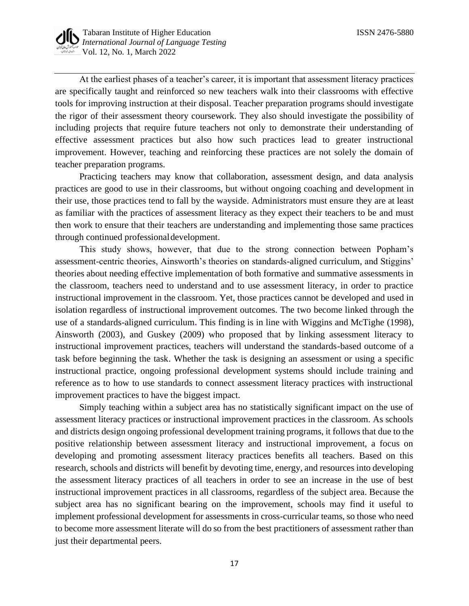

At the earliest phases of a teacher's career, it is important that assessment literacy practices are specifically taught and reinforced so new teachers walk into their classrooms with effective tools for improving instruction at their disposal. Teacher preparation programs should investigate the rigor of their assessment theory coursework. They also should investigate the possibility of including projects that require future teachers not only to demonstrate their understanding of effective assessment practices but also how such practices lead to greater instructional improvement. However, teaching and reinforcing these practices are not solely the domain of teacher preparation programs.

Practicing teachers may know that collaboration, assessment design, and data analysis practices are good to use in their classrooms, but without ongoing coaching and development in their use, those practices tend to fall by the wayside. Administrators must ensure they are at least as familiar with the practices of assessment literacy as they expect their teachers to be and must then work to ensure that their teachers are understanding and implementing those same practices through continued professionaldevelopment.

This study shows, however, that due to the strong connection between Popham's assessment-centric theories, Ainsworth's theories on standards-aligned curriculum, and Stiggins' theories about needing effective implementation of both formative and summative assessments in the classroom, teachers need to understand and to use assessment literacy, in order to practice instructional improvement in the classroom. Yet, those practices cannot be developed and used in isolation regardless of instructional improvement outcomes. The two become linked through the use of a standards-aligned curriculum**.** This finding is in line with Wiggins and McTighe (1998), Ainsworth (2003), and Guskey (2009) who proposed that by linking assessment literacy to instructional improvement practices, teachers will understand the standards-based outcome of a task before beginning the task. Whether the task is designing an assessment or using a specific instructional practice, ongoing professional development systems should include training and reference as to how to use standards to connect assessment literacy practices with instructional improvement practices to have the biggest impact.

Simply teaching within a subject area has no statistically significant impact on the use of assessment literacy practices or instructional improvement practices in the classroom. As schools and districts design ongoing professional development training programs, it follows that due to the positive relationship between assessment literacy and instructional improvement, a focus on developing and promoting assessment literacy practices benefits all teachers. Based on this research, schools and districts will benefit by devoting time, energy, and resources into developing the assessment literacy practices of all teachers in order to see an increase in the use of best instructional improvement practices in all classrooms, regardless of the subject area. Because the subject area has no significant bearing on the improvement, schools may find it useful to implement professional development for assessments in cross-curricular teams, so those who need to become more assessment literate will do so from the best practitioners of assessment rather than just their departmental peers.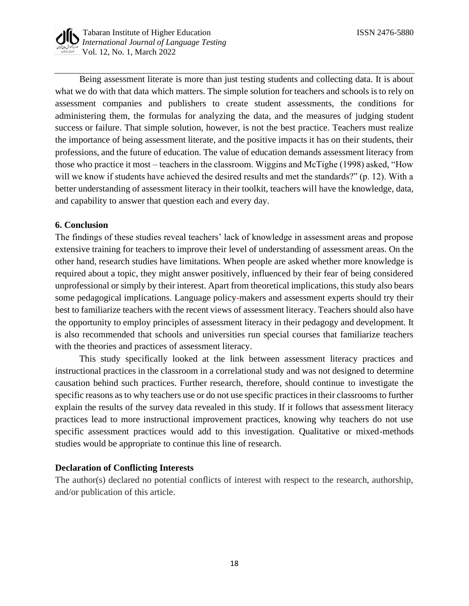

Being assessment literate is more than just testing students and collecting data. It is about what we do with that data which matters. The simple solution for teachers and schools is to rely on assessment companies and publishers to create student assessments, the conditions for administering them, the formulas for analyzing the data, and the measures of judging student success or failure. That simple solution, however, is not the best practice. Teachers must realize the importance of being assessment literate, and the positive impacts it has on their students, their professions, and the future of education. The value of education demands assessment literacy from those who practice it most – teachers in the classroom. Wiggins and McTighe (1998) asked, "How will we know if students have achieved the desired results and met the standards?" (p. 12). With a better understanding of assessment literacy in their toolkit, teachers will have the knowledge, data, and capability to answer that question each and every day.

### **6. Conclusion**

The findings of these studies reveal teachers' lack of knowledge in assessment areas and propose extensive training for teachers to improve their level of understanding of assessment areas. On the other hand, research studies have limitations. When people are asked whether more knowledge is required about a topic, they might answer positively, influenced by their fear of being considered unprofessional or simply by their interest. Apart from theoretical implications, this study also bears some pedagogical implications. Language policy-makers and assessment experts should try their best to familiarize teachers with the recent views of assessment literacy. Teachers should also have the opportunity to employ principles of assessment literacy in their pedagogy and development. It is also recommended that schools and universities run special courses that familiarize teachers with the theories and practices of assessment literacy.

This study specifically looked at the link between assessment literacy practices and instructional practices in the classroom in a correlational study and was not designed to determine causation behind such practices. Further research, therefore, should continue to investigate the specific reasons as to why teachers use or do not use specific practices in their classrooms to further explain the results of the survey data revealed in this study. If it follows that assessment literacy practices lead to more instructional improvement practices, knowing why teachers do not use specific assessment practices would add to this investigation. Qualitative or mixed-methods studies would be appropriate to continue this line of research.

#### **Declaration of Conflicting Interests**

The author(s) declared no potential conflicts of interest with respect to the research, authorship, and/or publication of this article.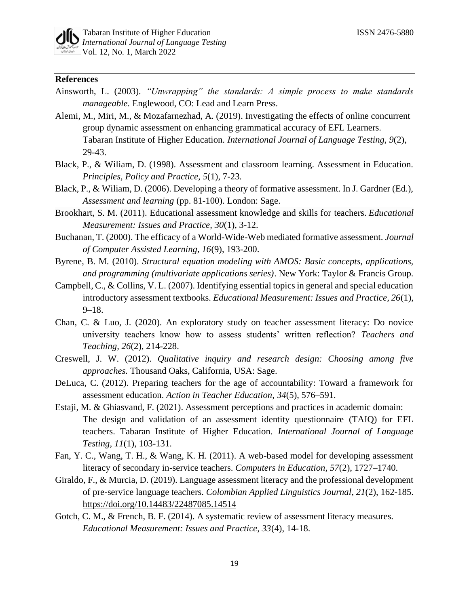

### **References**

- Ainsworth, L. (2003). *"Unwrapping" the standards: A simple process to make standards manageable.* Englewood, CO: Lead and Learn Press.
- Alemi, M., Miri, M., & Mozafarnezhad, A. (2019). Investigating the effects of online concurrent group dynamic assessment on enhancing grammatical accuracy of EFL Learners. Tabaran Institute of Higher Education. *International Journal of Language Testing, 9*(2), 29-43.
- Black, P., & Wiliam, D. (1998). Assessment and classroom learning. Assessment in Education. *Principles, Policy and Practice, 5*(1), 7-23.
- Black, P., & Wiliam, D. (2006). Developing a theory of formative assessment. In J. Gardner (Ed.), *Assessment and learning* (pp. 81-100). London: Sage.
- Brookhart, S. M. (2011). Educational assessment knowledge and skills for teachers. *Educational Measurement: Issues and Practice, 30*(1), 3-12.
- Buchanan, T. (2000). The efficacy of a World-Wide-Web mediated formative assessment. *Journal of Computer Assisted Learning, 16*(9), 193-200.
- Byrene, B. M. (2010). *Structural equation modeling with AMOS: Basic concepts, applications, and programming (multivariate applications series)*. New York: Taylor & Francis Group*.*
- Campbell, C., & Collins, V. L. (2007). Identifying essential topics in general and special education introductory assessment textbooks. *Educational Measurement: Issues and Practice, 26*(1), 9–18.
- Chan, C. & Luo, J. (2020). An exploratory study on teacher assessment literacy: Do novice university teachers know how to assess students' written reflection? *Teachers and Teaching, 26*(2), 214-228.
- Creswell, J. W. (2012). *Qualitative inquiry and research design: Choosing among five approaches.* Thousand Oaks, California, USA: Sage.
- DeLuca, C. (2012). Preparing teachers for the age of accountability: Toward a framework for assessment education. *Action in Teacher Education, 34*(5), 576–591.
- Estaji, M. & Ghiasvand, F. (2021). Assessment perceptions and practices in academic domain: The design and validation of an assessment identity questionnaire (TAIQ) for EFL teachers. Tabaran Institute of Higher Education. *International Journal of Language Testing, 11*(1), 103-131.
- Fan, Y. C., Wang, T. H., & Wang, K. H. (2011). A web-based model for developing assessment literacy of secondary in-service teachers. *Computers in Education, 57*(2), 1727–1740.
- Giraldo, F., & Murcia, D. (2019). Language assessment literacy and the professional development of pre-service language teachers. *Colombian Applied Linguistics Journal*, *21*(2), 162-185. <https://doi.org/10.14483/22487085.14514>
- Gotch, C. M., & French, B. F. (2014). A systematic review of assessment literacy measures. *Educational Measurement: Issues and Practice, 33*(4), 14-18.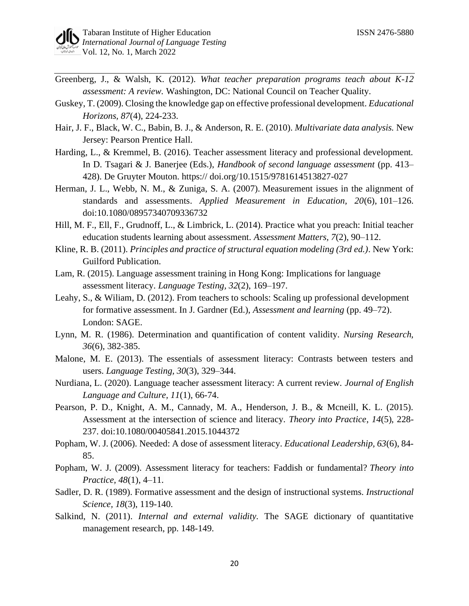- Greenberg, J., & Walsh, K. (2012). *What teacher preparation programs teach about K-12 assessment: A review.* Washington, DC: National Council on Teacher Quality.
- Guskey, T. (2009). Closing the knowledge gap on effective professional development. *Educational Horizons, 87*(4), 224-233.
- Hair, J. F., Black, W. C., Babin, B. J., & Anderson, R. E. (2010). *Multivariate data analysis.* New Jersey: Pearson Prentice Hall.
- Harding, L., & Kremmel, B. (2016). Teacher assessment literacy and professional development. In D. Tsagari & J. Banerjee (Eds.), *Handbook of second language assessment* (pp. 413– 428). De Gruyter Mouton. https:// doi.org/10.1515/9781614513827-027
- Herman, J. L., Webb, N. M., & Zuniga, S. A. (2007). Measurement issues in the alignment of standards and assessments. *Applied Measurement in Education, 20*(6), 101–126. doi:10.1080/08957340709336732
- Hill, M. F., Ell, F., Grudnoff, L., & Limbrick, L. (2014). Practice what you preach: Initial teacher education students learning about assessment. *Assessment Matters, 7*(2), 90–112.
- Kline, R. B. (2011). *Principles and practice of structural equation modeling (3rd ed.)*. New York: Guilford Publication.
- Lam, R. (2015). Language assessment training in Hong Kong: Implications for language assessment literacy. *Language Testing, 32*(2), 169–197.
- Leahy, S., & Wiliam, D. (2012). From teachers to schools: Scaling up professional development for formative assessment. In J. Gardner (Ed.), *Assessment and learning* (pp. 49–72). London: SAGE.
- Lynn, M. R. (1986). Determination and quantification of content validity. *Nursing Research, 36*(6), 382-385.
- Malone, M. E. (2013). The essentials of assessment literacy: Contrasts between testers and users. *Language Testing, 30*(3), 329–344.
- Nurdiana, L. (2020). Language teacher assessment literacy: A current review. *Journal of English Language and Culture, 11*(1), 66-74.
- Pearson, P. D., Knight, A. M., Cannady, M. A., Henderson, J. B., & Mcneill, K. L. (2015). Assessment at the intersection of science and literacy. *Theory into Practice*, *14*(5), 228- 237. doi:10.1080/00405841.2015.1044372
- Popham, W. J. (2006). Needed: A dose of assessment literacy. *Educational Leadership, 63*(6), 84- 85.
- Popham, W. J. (2009). Assessment literacy for teachers: Faddish or fundamental? *Theory into Practice, 48*(1), 4–11.
- Sadler, D. R. (1989). Formative assessment and the design of instructional systems. *Instructional Science, 18*(3), 119-140.
- Salkind, N. (2011). *Internal and external validity.* The SAGE dictionary of quantitative management research, pp. 148-149.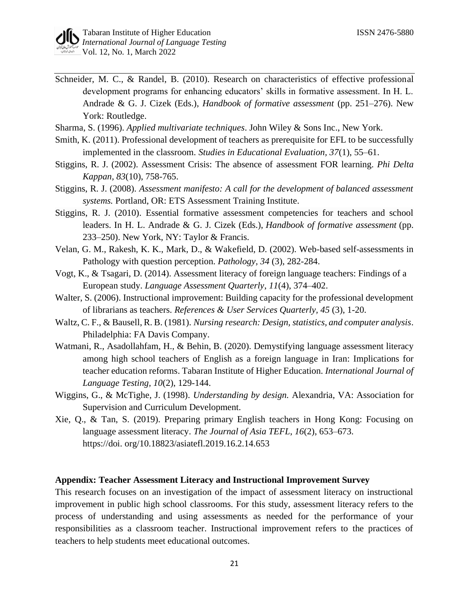- Schneider, M. C., & Randel, B. (2010). Research on characteristics of effective professional development programs for enhancing educators' skills in formative assessment. In H. L. Andrade & G. J. Cizek (Eds.), *Handbook of formative assessment* (pp. 251–276). New York: Routledge.
- Sharma, S. (1996). *Applied multivariate techniques*. John Wiley & Sons Inc., New York.
- Smith, K. (2011). Professional development of teachers as prerequisite for EFL to be successfully implemented in the classroom. *Studies in Educational Evaluation, 37*(1), 55–61.
- Stiggins, R. J. (2002). Assessment Crisis: The absence of assessment FOR learning. *Phi Delta Kappan, 83*(10), 758-765.
- Stiggins, R. J. (2008). *Assessment manifesto: A call for the development of balanced assessment systems.* Portland, OR: ETS Assessment Training Institute.
- Stiggins, R. J. (2010). Essential formative assessment competencies for teachers and school leaders. In H. L. Andrade & G. J. Cizek (Eds.), *Handbook of formative assessment* (pp. 233–250). New York, NY: Taylor & Francis.
- Velan, G. M., Rakesh, K. K., Mark, D., & Wakefield, D. (2002). Web-based self-assessments in Pathology with question perception. *Pathology, 34* (3), 282-284.
- Vogt, K., & Tsagari, D. (2014). Assessment literacy of foreign language teachers: Findings of a European study. *Language Assessment Quarterly*, *11*(4), 374–402.
- Walter, S. (2006). Instructional improvement: Building capacity for the professional development of librarians as teachers. *References & User Services Quarterly, 45* (3), 1-20.
- Waltz, C. F., & Bausell, R. B. (1981). *Nursing research: Design, statistics, and computer analysis*. Philadelphia: FA Davis Company.
- Watmani, R., Asadollahfam, H., & Behin, B. (2020). Demystifying language assessment literacy among high school teachers of English as a foreign language in Iran: Implications for teacher education reforms. Tabaran Institute of Higher Education. *International Journal of Language Testing, 10*(2), 129-144.
- Wiggins, G., & McTighe, J. (1998). *Understanding by design.* Alexandria, VA: Association for Supervision and Curriculum Development.
- Xie, Q., & Tan, S. (2019). Preparing primary English teachers in Hong Kong: Focusing on language assessment literacy. *The Journal of Asia TEFL*, *16*(2), 653–673. https://doi. org/10.18823/asiatefl.2019.16.2.14.653

### **Appendix: Teacher Assessment Literacy and Instructional Improvement Survey**

This research focuses on an investigation of the impact of assessment literacy on instructional improvement in public high school classrooms. For this study, assessment literacy refers to the process of understanding and using assessments as needed for the performance of your responsibilities as a classroom teacher. Instructional improvement refers to the practices of teachers to help students meet educational outcomes.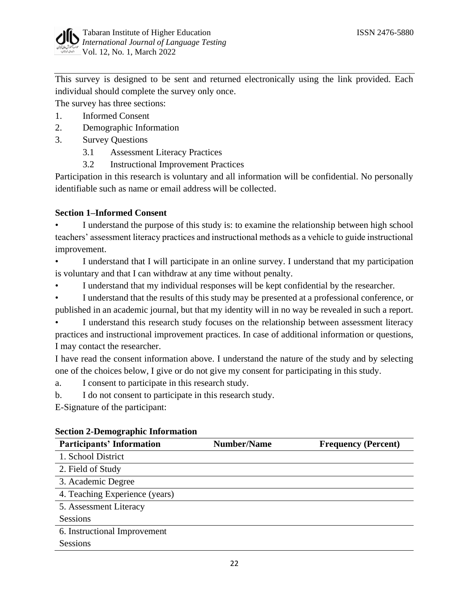

This survey is designed to be sent and returned electronically using the link provided. Each individual should complete the survey only once.

The survey has three sections:

- 1. Informed Consent
- 2. Demographic Information
- 3. Survey Questions
	- 3.1 Assessment Literacy Practices
	- 3.2 Instructional Improvement Practices

Participation in this research is voluntary and all information will be confidential. No personally identifiable such as name or email address will be collected.

# **Section 1–Informed Consent**

I understand the purpose of this study is: to examine the relationship between high school teachers' assessment literacy practices and instructional methods as a vehicle to guide instructional improvement.

• I understand that I will participate in an online survey. I understand that my participation is voluntary and that I can withdraw at any time without penalty.

I understand that my individual responses will be kept confidential by the researcher.

• I understand that the results of this study may be presented at a professional conference, or published in an academic journal, but that my identity will in no way be revealed in such a report.

• I understand this research study focuses on the relationship between assessment literacy practices and instructional improvement practices. In case of additional information or questions, I may contact the researcher.

I have read the consent information above. I understand the nature of the study and by selecting one of the choices below, I give or do not give my consent for participating in this study.

a. I consent to participate in this research study.

b. I do not consent to participate in this research study.

E-Signature of the participant:

| <b>Participants' Information</b> | <b>Number/Name</b> | <b>Frequency (Percent)</b> |
|----------------------------------|--------------------|----------------------------|
| 1. School District               |                    |                            |
| 2. Field of Study                |                    |                            |
| 3. Academic Degree               |                    |                            |
| 4. Teaching Experience (years)   |                    |                            |
| 5. Assessment Literacy           |                    |                            |
| Sessions                         |                    |                            |
| 6. Instructional Improvement     |                    |                            |
| Sessions                         |                    |                            |

# **Section 2-Demographic Information**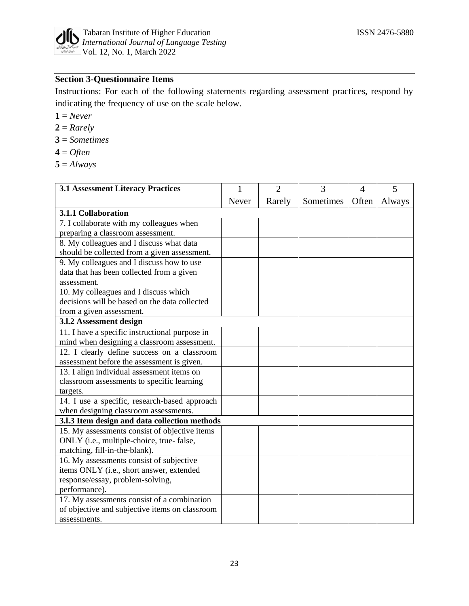

# **Section 3-Questionnaire Items**

Instructions: For each of the following statements regarding assessment practices, respond by indicating the frequency of use on the scale below.

**1** = *Never*

- $2 =$ *Rarely*
- **3** = *Sometimes*
- **4** = *Often*
- $5 = Always$

| <b>3.1 Assessment Literacy Practices</b>       | 1     | $\overline{2}$ | 3         | $\overline{4}$ | 5      |
|------------------------------------------------|-------|----------------|-----------|----------------|--------|
|                                                | Never | Rarely         | Sometimes | Often          | Always |
| 3.1.1 Collaboration                            |       |                |           |                |        |
| 7. I collaborate with my colleagues when       |       |                |           |                |        |
| preparing a classroom assessment.              |       |                |           |                |        |
| 8. My colleagues and I discuss what data       |       |                |           |                |        |
| should be collected from a given assessment.   |       |                |           |                |        |
| 9. My colleagues and I discuss how to use      |       |                |           |                |        |
| data that has been collected from a given      |       |                |           |                |        |
| assessment.                                    |       |                |           |                |        |
| 10. My colleagues and I discuss which          |       |                |           |                |        |
| decisions will be based on the data collected  |       |                |           |                |        |
| from a given assessment.                       |       |                |           |                |        |
| 3.1.2 Assessment design                        |       |                |           |                |        |
| 11. I have a specific instructional purpose in |       |                |           |                |        |
| mind when designing a classroom assessment.    |       |                |           |                |        |
| 12. I clearly define success on a classroom    |       |                |           |                |        |
| assessment before the assessment is given.     |       |                |           |                |        |
| 13. I align individual assessment items on     |       |                |           |                |        |
| classroom assessments to specific learning     |       |                |           |                |        |
| targets.                                       |       |                |           |                |        |
| 14. I use a specific, research-based approach  |       |                |           |                |        |
| when designing classroom assessments.          |       |                |           |                |        |
| 3.1.3 Item design and data collection methods  |       |                |           |                |        |
| 15. My assessments consist of objective items  |       |                |           |                |        |
| ONLY (i.e., multiple-choice, true- false,      |       |                |           |                |        |
| matching, fill-in-the-blank).                  |       |                |           |                |        |
| 16. My assessments consist of subjective       |       |                |           |                |        |
| items ONLY (i.e., short answer, extended       |       |                |           |                |        |
| response/essay, problem-solving,               |       |                |           |                |        |
| performance).                                  |       |                |           |                |        |
| 17. My assessments consist of a combination    |       |                |           |                |        |
| of objective and subjective items on classroom |       |                |           |                |        |
| assessments.                                   |       |                |           |                |        |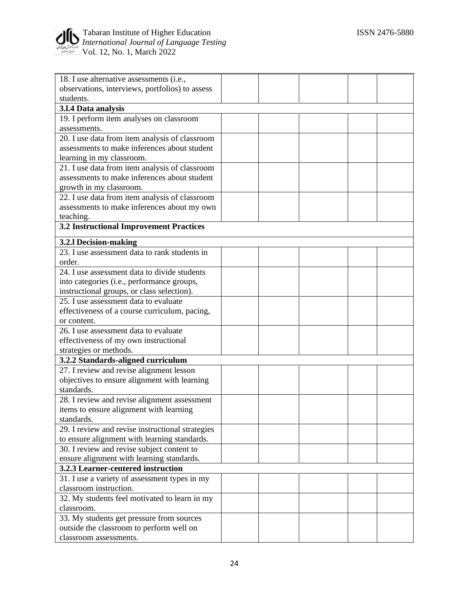

| 18. I use alternative assessments (i.e.,         |  |  |  |
|--------------------------------------------------|--|--|--|
|                                                  |  |  |  |
| observations, interviews, portfolios) to assess  |  |  |  |
| students.                                        |  |  |  |
| 3.1.4 Data analysis                              |  |  |  |
| 19. I perform item analyses on classroom         |  |  |  |
| assessments.                                     |  |  |  |
| 20. I use data from item analysis of classroom   |  |  |  |
| assessments to make inferences about student     |  |  |  |
| learning in my classroom.                        |  |  |  |
| 21. I use data from item analysis of classroom   |  |  |  |
| assessments to make inferences about student     |  |  |  |
| growth in my classroom.                          |  |  |  |
| 22. I use data from item analysis of classroom   |  |  |  |
| assessments to make inferences about my own      |  |  |  |
| teaching.                                        |  |  |  |
| <b>3.2 Instructional Improvement Practices</b>   |  |  |  |
|                                                  |  |  |  |
| 3.2.1 Decision-making                            |  |  |  |
| 23. I use assessment data to rank students in    |  |  |  |
| order.                                           |  |  |  |
| 24. I use assessment data to divide students     |  |  |  |
| into categories (i.e., performance groups,       |  |  |  |
| instructional groups, or class selection).       |  |  |  |
| 25. I use assessment data to evaluate            |  |  |  |
| effectiveness of a course curriculum, pacing,    |  |  |  |
| or content.                                      |  |  |  |
| 26. I use assessment data to evaluate            |  |  |  |
|                                                  |  |  |  |
| effectiveness of my own instructional            |  |  |  |
| strategies or methods.                           |  |  |  |
| 3.2.2 Standards-aligned curriculum               |  |  |  |
| 27. I review and revise alignment lesson         |  |  |  |
| objectives to ensure alignment with learning     |  |  |  |
| standards.                                       |  |  |  |
| 28. I review and revise alignment assessment     |  |  |  |
| items to ensure alignment with learning          |  |  |  |
| standards.                                       |  |  |  |
| 29. I review and revise instructional strategies |  |  |  |
| to ensure alignment with learning standards.     |  |  |  |
| 30. I review and revise subject content to       |  |  |  |
| ensure alignment with learning standards.        |  |  |  |
| 3.2.3 Learner-centered instruction               |  |  |  |
| 31. I use a variety of assessment types in my    |  |  |  |
| classroom instruction.                           |  |  |  |
| 32. My students feel motivated to learn in my    |  |  |  |
| classroom.                                       |  |  |  |
| 33. My students get pressure from sources        |  |  |  |
| outside the classroom to perform well on         |  |  |  |
|                                                  |  |  |  |
| classroom assessments.                           |  |  |  |